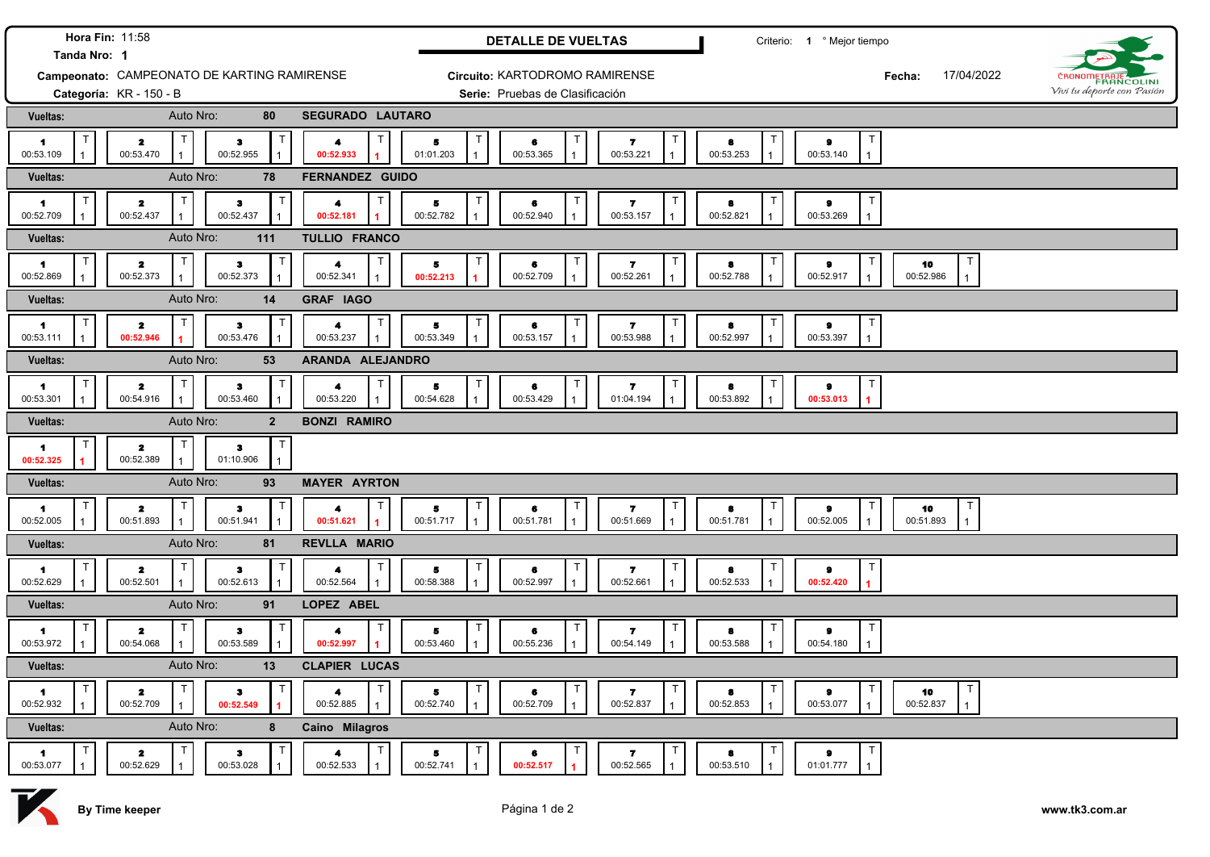| Hora Fin: 11:58<br>Tanda Nro: 1                     |                                             |                                           |                                                                   | <b>DETALLE DE VUELTAS</b>                                                     | Criterio: 1 º Mejor tiempo                                                                       |                            |  |
|-----------------------------------------------------|---------------------------------------------|-------------------------------------------|-------------------------------------------------------------------|-------------------------------------------------------------------------------|--------------------------------------------------------------------------------------------------|----------------------------|--|
|                                                     | Campeonato: CAMPEONATO DE KARTING RAMIRENSE |                                           |                                                                   | Circuito: KARTODROMO RAMIRENSE                                                | 17/04/2022<br>Fecha:                                                                             | CRONOMETRAJE               |  |
|                                                     | Categoría: KR - 150 - B                     |                                           |                                                                   | Serie: Pruebas de Clasificación                                               |                                                                                                  | Vivi tu deporte con Pasión |  |
| <b>Vueltas:</b>                                     | Auto Nro:                                   | 80                                        | <b>SEGURADO LAUTARO</b>                                           |                                                                               |                                                                                                  |                            |  |
| $\blacksquare$<br>00:53.109                         | $\mathbf{z}$<br>00:53.470                   | $\bullet$<br>00:52.955                    | T<br>$\mathsf T$<br>4<br>5<br>01:01.203<br>00:52.933              | $\mathbf{z}$<br>6<br>00:53.221<br>00:53.365                                   | $\mathsf{T}$<br>$\bullet$<br>8<br>00:53.253<br>00:53.140                                         |                            |  |
| Vueltas:                                            | Auto Nro:                                   | 78                                        | FERNANDEZ GUIDO                                                   |                                                                               |                                                                                                  |                            |  |
| т<br>$\blacksquare$<br>00:52.709                    | $\mathbf{z}$<br>00:52.437                   | Т<br>$\mathbf{3}$<br>00:52.437            | $\mathsf T$<br>T.<br>4<br>5<br>00:52.782<br>00:52.181             | $\mathbf{z}$<br>6<br>00:52.940<br>00:53.157                                   | T<br>8<br>9<br>00:52.821<br>00:53.269                                                            |                            |  |
| Vueltas:                                            | Auto Nro:                                   | 111                                       | TULLIO FRANCO                                                     |                                                                               |                                                                                                  |                            |  |
| $\blacksquare$<br>00:52.869                         | $\mathbf{z}$<br>00:52.373                   | $\mathbf{3}$<br>00:52.373                 | T.<br>Т<br>4<br>5<br>00:52.341<br>00:52.213                       | 6<br>$\mathbf{7}$<br>00:52.709<br>00:52.261                                   | ा<br>$\mathsf T$<br>10<br>8<br>9<br>00:52.788<br>00:52.917<br>00:52.986                          |                            |  |
| Vueltas:                                            | Auto Nro:                                   | 14                                        | <b>GRAF IAGO</b>                                                  |                                                                               |                                                                                                  |                            |  |
| $\blacktriangleleft$<br>00:53.111                   | $\overline{\mathbf{z}}$<br>00:52.946        | $\mathbf{3}$<br>00:53.476                 | Τ<br>5<br>4<br>00:53.349<br>00:53.237                             | $\overline{\mathbf{r}}$<br>6<br>00:53.157<br>00:53.988                        | T<br>$\pmb{9}$<br>8<br>00:53.397<br>00:52.997                                                    |                            |  |
| Vueltas:                                            | Auto Nro:                                   | 53                                        | ARANDA ALEJANDRO                                                  |                                                                               |                                                                                                  |                            |  |
| $\mathbf 1$<br>00:53.301                            | $\mathbf{z}$<br>00:54.916                   | $\bullet$<br>00:53.460                    | T.<br>$\mathsf T$<br>Б<br>4<br>00:54.628<br>00:53.220             | $\mathbf{z}$<br>6<br>00:53.429<br>01:04.194                                   | T<br>8<br>9<br>00:53.892<br>00:53.013                                                            |                            |  |
| Vueltas:                                            | Auto Nro:                                   | $\overline{2}$                            | <b>BONZI RAMIRO</b>                                               |                                                                               |                                                                                                  |                            |  |
| $\blacksquare$<br>00:52.325                         | $\mathbf{z}$<br>00:52.389                   | $\mathbf{3}$<br>01:10.906                 |                                                                   |                                                                               |                                                                                                  |                            |  |
| Vueltas:                                            | Auto Nro:                                   | 93                                        | <b>MAYER AYRTON</b>                                               |                                                                               |                                                                                                  |                            |  |
| $\mathbf 1$<br>00:52.005                            | $\mathbf{z}$<br>00:51.893                   | з.<br>00:51.941                           | $\mathsf T$<br>T<br>5<br>00:51.717<br>00:51.621<br>$\overline{1}$ | 7<br>6<br>00:51.781<br>00:51.669                                              | $\mathsf{T}$<br>$\top$<br>10<br>9<br>8<br>00:51.781<br>00:52.005<br>00:51.893                    |                            |  |
| Vueltas:                                            | Auto Nro:                                   | 81                                        | <b>REVLLA MARIO</b>                                               |                                                                               |                                                                                                  |                            |  |
| $\blacksquare$<br>00:52.629                         | $\mathbf{z}$<br>00:52.501                   | з<br>00:52.613                            | $\mathsf T$<br>5.<br>00:52.564<br>00:58.388                       | $\mathbf{7}$<br>6<br>00:52.997<br>00:52.661                                   | T<br>9<br>8<br>00:52.533<br>00:52.420                                                            |                            |  |
| Vueltas:                                            | Auto Nro:                                   | 91                                        | LOPEZ ABEL                                                        |                                                                               |                                                                                                  |                            |  |
| $\blacksquare$<br>00:53.972                         | $\overline{\mathbf{z}}$<br>00:54.068        | з<br>00:53.589                            | 5.<br>00:53.460<br>00:52.997                                      | -7<br>6<br>00:55.236<br>00:54.149                                             | T<br>9<br>8<br>00:53.588<br>00:54.180                                                            |                            |  |
| Vueltas:<br><b>CLAPIER LUCAS</b><br>Auto Nro:<br>13 |                                             |                                           |                                                                   |                                                                               |                                                                                                  |                            |  |
| $\mathsf{T}$<br>$\blacksquare$<br>00:52.932         | $\mathbf{z}$<br>00:52.709                   | $\mathsf{T}$<br>$\bullet$<br>00:52.549    | T<br>T<br>5<br>4<br>00:52.885<br>00:52.740<br>$\mathbf{1}$        | $\mathsf{T}$<br>$\mathbf{z}$<br>6<br>00:52.709<br>00:52.837<br>$\overline{1}$ | $\mathsf{T}$<br>$\mathsf{T}$<br>T<br>10<br>$\bullet$<br>8<br>00:52.853<br>00:53.077<br>00:52.837 |                            |  |
| <b>Vueltas:</b>                                     | Auto Nro:                                   | 8                                         | Caino Milagros                                                    |                                                                               |                                                                                                  |                            |  |
| $\mathsf{T}$<br>$\blacksquare$<br>00:53.077         | $\mathbf{z}$<br>00:52.629                   | $\mathsf{T}$<br>$\mathbf{3}$<br>00:53.028 | T<br>T<br>$\blacktriangleleft$<br>5<br>00:52.741<br>00:52.533     | T<br>$\mathbf{z}$<br>6<br>00:52.565<br>00:52.517                              | $\top$<br>T<br>$\bullet$<br>8<br>00:53.510<br>01:01.777                                          |                            |  |